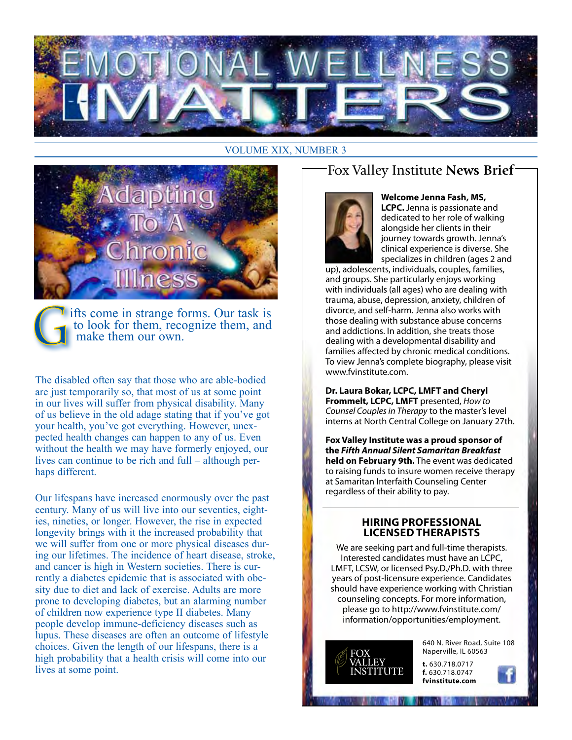

#### **VOLUME XIX, NUMBER 3**



ifts come in strange forms. Our task is to look for them, recognize them, and make them our own.

The disabled often say that those who are able-bodied are just temporarily so, that most of us at some point in our lives will suffer from physical disability. Many of us believe in the old adage stating that if you've got your health, you've got everything. However, unexpected health changes can happen to any of us. Even without the health we may have formerly enjoyed, our lives can continue to be rich and full – although perhaps different.

Our lifespans have increased enormously over the past century. Many of us will live into our seventies, eighties, nineties, or longer. However, the rise in expected longevity brings with it the increased probability that we will suffer from one or more physical diseases during our lifetimes. The incidence of heart disease, stroke, and cancer is high in Western societies. There is currently a diabetes epidemic that is associated with obesity due to diet and lack of exercise. Adults are more prone to developing diabetes, but an alarming number of children now experience type II diabetes. Many people develop immune-deficiency diseases such as lupus. These diseases are often an outcome of lifestyle choices. Given the length of our lifespans, there is a high probability that a health crisis will come into our lives at some point.

## Fox Valley Institute News Brief-



#### Welcome Jenna Fash, MS,

LCPC. Jenna is passionate and dedicated to her role of walking alongside her clients in their journey towards growth. Jenna's clinical experience is diverse. She specializes in children (ages 2 and

up), adolescents, individuals, couples, families, and groups. She particularly enjoys working with individuals (all ages) who are dealing with trauma, abuse, depression, anxiety, children of divorce, and self-harm. Jenna also works with those dealing with substance abuse concerns and addictions. In addition, she treats those dealing with a developmental disability and families affected by chronic medical conditions. To view Jenna's complete biography, please visit www.fvinstitute.com.

Dr. Laura Bokar, LCPC, LMFT and Cheryl Frommelt, LCPC, LMFT presented, How to Counsel Couples in Therapy to the master's level interns at North Central College on January 27th.

Fox Valley Institute was a proud sponsor of the Fifth Annual Silent Samaritan Breakfast held on February 9th. The event was dedicated to raising funds to insure women receive therapy at Samaritan Interfaith Counseling Center regardless of their ability to pay.

#### **HIRING PROFESSIONAL LICENSED THERAPISTS**

We are seeking part and full-time therapists. Interested candidates must have an LCPC, LMFT, LCSW, or licensed Psy.D./Ph.D. with three years of post-licensure experience. Candidates should have experience working with Christian counseling concepts. For more information, please go to http://www.fvinstitute.com/ information/opportunities/employment.



640 N. River Road, Suite 108 Naperville, IL 60563

t. 630.718.0717 f. 630.718.0747 fvinstitute.com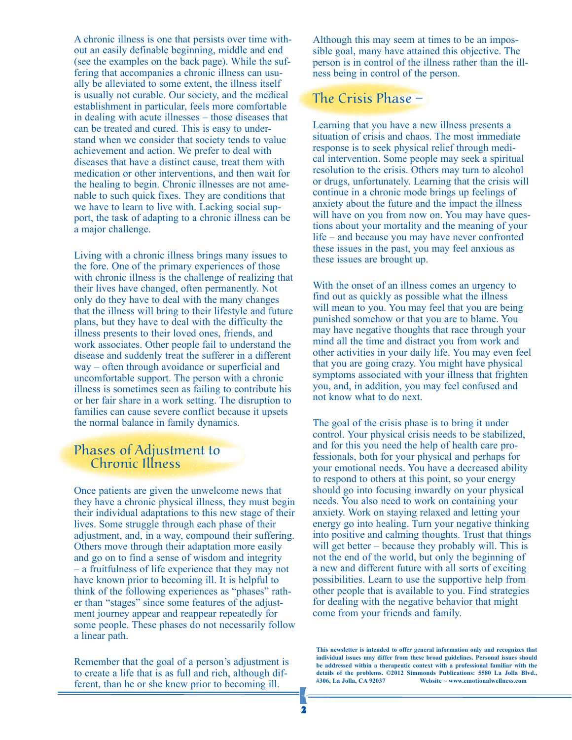A chronic illness is one that persists over time without an easily definable beginning, middle and end (see the examples on the back page). While the suffering that accompanies a chronic illness can usually be alleviated to some extent, the illness itself is usually not curable. Our society, and the medical establishment in particular, feels more comfortable in dealing with acute illnesses – those diseases that can be treated and cured. This is easy to understand when we consider that society tends to value achievement and action. We prefer to deal with diseases that have a distinct cause, treat them with medication or other interventions, and then wait for the healing to begin. Chronic illnesses are not amenable to such quick fixes. They are conditions that we have to learn to live with. Lacking social support, the task of adapting to a chronic illness can be a major challenge.

Living with a chronic illness brings many issues to the fore. One of the primary experiences of those with chronic illness is the challenge of realizing that their lives have changed, often permanently. Not only do they have to deal with the many changes that the illness will bring to their lifestyle and future plans, but they have to deal with the difficulty the illness presents to their loved ones, friends, and work associates. Other people fail to understand the disease and suddenly treat the sufferer in a different way – often through avoidance or superficial and uncomfortable support. The person with a chronic illness is sometimes seen as failing to contribute his or her fair share in a work setting. The disruption to families can cause severe conflict because it upsets the normal balance in family dynamics.

#### Phases of Adjustment to Chronic Illness

Once patients are given the unwelcome news that they have a chronic physical illness, they must begin their individual adaptations to this new stage of their lives. Some struggle through each phase of their adjustment, and, in a way, compound their suffering. Others move through their adaptation more easily and go on to find a sense of wisdom and integrity – a fruitfulness of life experience that they may not have known prior to becoming ill. It is helpful to think of the following experiences as "phases" rather than "stages" since some features of the adjustment journey appear and reappear repeatedly for some people. These phases do not necessarily follow a linear path.

Remember that the goal of a person's adjustment is to create a life that is as full and rich, although different, than he or she knew prior to becoming ill.

Although this may seem at times to be an impossible goal, many have attained this objective. The person is in control of the illness rather than the illness being in control of the person.

### The Crisis Phase –

Learning that you have a new illness presents a situation of crisis and chaos. The most immediate response is to seek physical relief through medical intervention. Some people may seek a spiritual resolution to the crisis. Others may turn to alcohol or drugs, unfortunately. Learning that the crisis will continue in a chronic mode brings up feelings of anxiety about the future and the impact the illness will have on you from now on. You may have questions about your mortality and the meaning of your life – and because you may have never confronted these issues in the past, you may feel anxious as these issues are brought up.

With the onset of an illness comes an urgency to find out as quickly as possible what the illness will mean to you. You may feel that you are being punished somehow or that you are to blame. You may have negative thoughts that race through your mind all the time and distract you from work and other activities in your daily life. You may even feel that you are going crazy. You might have physical symptoms associated with your illness that frighten you, and, in addition, you may feel confused and not know what to do next.

The goal of the crisis phase is to bring it under control. Your physical crisis needs to be stabilized, and for this you need the help of health care professionals, both for your physical and perhaps for your emotional needs. You have a decreased ability to respond to others at this point, so your energy should go into focusing inwardly on your physical needs. You also need to work on containing your anxiety. Work on staying relaxed and letting your energy go into healing. Turn your negative thinking into positive and calming thoughts. Trust that things will get better – because they probably will. This is not the end of the world, but only the beginning of a new and different future with all sorts of exciting possibilities. Learn to use the supportive help from other people that is available to you. Find strategies for dealing with the negative behavior that might come from your friends and family.

**This newsletter is intended to offer general information only and recognizes that individual issues may differ from these broad guidelines. Personal issues should be addressed within a therapeutic context with a professional familiar with the details of the problems. ©2012 Simmonds Publications: 5580 La Jolla Blvd., #306, La Jolla, CA 92037 Website ~ www.emotionalwellness.com**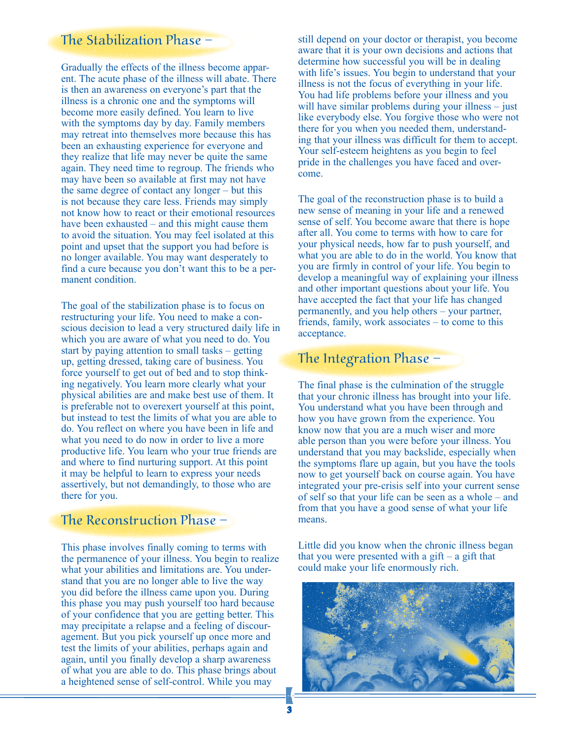## The Stabilization Phase –

Gradually the effects of the illness become apparent. The acute phase of the illness will abate. There is then an awareness on everyone's part that the illness is a chronic one and the symptoms will become more easily defined. You learn to live with the symptoms day by day. Family members may retreat into themselves more because this has been an exhausting experience for everyone and they realize that life may never be quite the same again. They need time to regroup. The friends who may have been so available at first may not have the same degree of contact any longer – but this is not because they care less. Friends may simply not know how to react or their emotional resources have been exhausted – and this might cause them to avoid the situation. You may feel isolated at this point and upset that the support you had before is no longer available. You may want desperately to find a cure because you don't want this to be a permanent condition.

The goal of the stabilization phase is to focus on restructuring your life. You need to make a conscious decision to lead a very structured daily life in which you are aware of what you need to do. You start by paying attention to small tasks – getting up, getting dressed, taking care of business. You force yourself to get out of bed and to stop thinking negatively. You learn more clearly what your physical abilities are and make best use of them. It is preferable not to overexert yourself at this point, but instead to test the limits of what you are able to do. You reflect on where you have been in life and what you need to do now in order to live a more productive life. You learn who your true friends are and where to find nurturing support. At this point it may be helpful to learn to express your needs assertively, but not demandingly, to those who are there for you.

### The Reconstruction Phase –

This phase involves finally coming to terms with the permanence of your illness. You begin to realize what your abilities and limitations are. You understand that you are no longer able to live the way you did before the illness came upon you. During this phase you may push yourself too hard because of your confidence that you are getting better. This may precipitate a relapse and a feeling of discouragement. But you pick yourself up once more and test the limits of your abilities, perhaps again and again, until you finally develop a sharp awareness of what you are able to do. This phase brings about a heightened sense of self-control. While you may

still depend on your doctor or therapist, you become aware that it is your own decisions and actions that determine how successful you will be in dealing with life's issues. You begin to understand that your illness is not the focus of everything in your life. You had life problems before your illness and you will have similar problems during your illness – just like everybody else. You forgive those who were not there for you when you needed them, understanding that your illness was difficult for them to accept. Your self-esteem heightens as you begin to feel pride in the challenges you have faced and overcome.

The goal of the reconstruction phase is to build a new sense of meaning in your life and a renewed sense of self. You become aware that there is hope after all. You come to terms with how to care for your physical needs, how far to push yourself, and what you are able to do in the world. You know that you are firmly in control of your life. You begin to develop a meaningful way of explaining your illness and other important questions about your life. You have accepted the fact that your life has changed permanently, and you help others – your partner, friends, family, work associates – to come to this acceptance.

### The Integration Phase –

The final phase is the culmination of the struggle that your chronic illness has brought into your life. You understand what you have been through and how you have grown from the experience. You know now that you are a much wiser and more able person than you were before your illness. You understand that you may backslide, especially when the symptoms flare up again, but you have the tools now to get yourself back on course again. You have integrated your pre-crisis self into your current sense of self so that your life can be seen as a whole – and from that you have a good sense of what your life means.

Little did you know when the chronic illness began that you were presented with a gift  $-$  a gift that could make your life enormously rich.